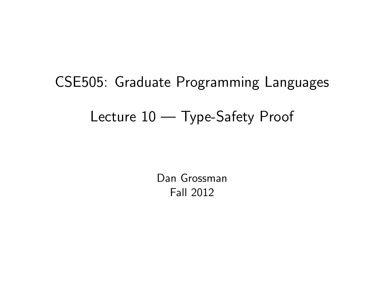# CSE505: Graduate Programming Languages Lecture 10 — Type-Safety Proof

<span id="page-0-0"></span>Dan Grossman Fall 2012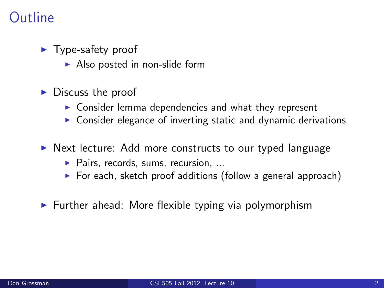# **Outline**

- $\blacktriangleright$  Type-safety proof
	- $\blacktriangleright$  Also posted in non-slide form
- $\triangleright$  Discuss the proof
	- $\triangleright$  Consider lemma dependencies and what they represent
	- $\triangleright$  Consider elegance of inverting static and dynamic derivations
- $\triangleright$  Next lecture: Add more constructs to our typed language
	- $\blacktriangleright$  Pairs, records, sums, recursion, ...
	- $\triangleright$  For each, sketch proof additions (follow a general approach)
- $\blacktriangleright$  Further ahead: More flexible typing via polymorphism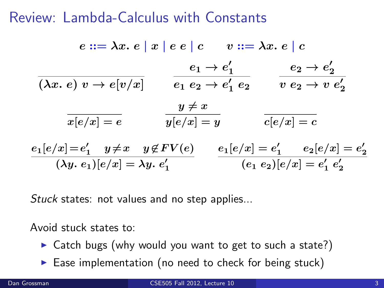# Review: Lambda-Calculus with Constants

$$
e ::= \lambda x. e \mid x \mid e e \mid c \qquad v ::= \lambda x. e \mid c
$$
\n
$$
\overline{(\lambda x. e) v \rightarrow e[v/x]} \qquad \overline{e_1 e_2 \rightarrow e'_1 e_2} \qquad \overline{v e_2 \rightarrow e'_2}
$$
\n
$$
\overline{x[e/x] = e} \qquad \overline{y[e/x] = y} \qquad \overline{c[e/x] = c}
$$
\n
$$
e_1[e/x] = e'_1 \qquad y \neq x \qquad y \notin FV(e) \qquad e_1[e/x] = e'_1 \qquad e_2[e/x] = e'_2
$$
\n
$$
\overline{(\lambda y. e_1)[e/x] = \lambda y. e'_1} \qquad \overline{(\lambda y. e_2)[e/x] = e'_1 e'_2}
$$

Stuck states: not values and no step applies...

Avoid stuck states to:

- $\triangleright$  Catch bugs (why would you want to get to such a state?)
- $\blacktriangleright$  Ease implementation (no need to check for being stuck)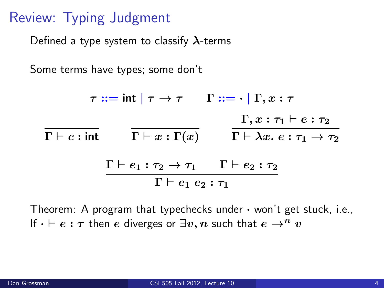# Review: Typing Judgment

Defined a type system to classify  $\lambda$ -terms

Some terms have types; some don't

 $\tau ::= \mathsf{int} | \tau \to \tau \quad \Gamma ::= \cdot | \Gamma, x : \tau$  $\Gamma \vdash c : \mathsf{int} \qquad \Gamma \vdash x : \Gamma(x) \qquad \Gamma \vdash \lambda x. \ e : \tau_1 \to \tau_2$  $\Gamma, x : \tau_1 \vdash e : \tau_2$  $\Gamma \vdash e_1 : \tau_2 \rightarrow \tau_1 \quad \Gamma \vdash e_2 : \tau_2$  $\Gamma \vdash e_1 \; e_2 : \tau_1$ 

Theorem: A program that typechecks under  $\cdot$  won't get stuck, i.e., If  $\cdot \vdash e : \tau$  then e diverges or  $\exists v, n$  such that  $e \rightarrow^n v$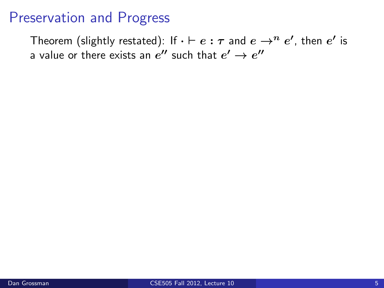# Preservation and Progress

Theorem (slightly restated): If  $\cdot\vdash e:\tau$  and  $e\rightarrow^{n}e'$ , then  $e'$  is a value or there exists an  $e^{\prime\prime}$  such that  $e^\prime\rightarrow e^{\prime\prime}$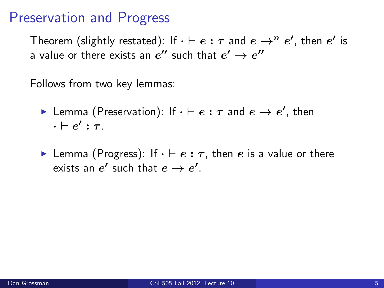# Preservation and Progress

Theorem (slightly restated): If  $\cdot\vdash e:\tau$  and  $e\rightarrow^{n}e'$ , then  $e'$  is a value or there exists an  $e^{\prime\prime}$  such that  $e^\prime\rightarrow e^{\prime\prime}$ 

Follows from two key lemmas:

- **Lemma** (Preservation): If  $\cdot \vdash e : \tau$  and  $e \rightarrow e'$ , then  $\cdot \vdash e' : \tau$  .
- **Lemma** (Progress): If  $\cdot \vdash e : \tau$ , then e is a value or there exists an  $e'$  such that  $e \to e'.$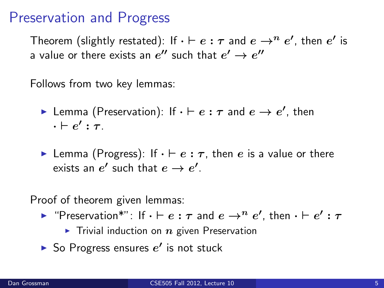# Preservation and Progress

Theorem (slightly restated): If  $\cdot\vdash e:\tau$  and  $e\rightarrow^{n}e'$ , then  $e'$  is a value or there exists an  $e^{\prime\prime}$  such that  $e^\prime\rightarrow e^{\prime\prime}$ 

Follows from two key lemmas:

- **Lemma** (Preservation): If  $\cdot \vdash e : \tau$  and  $e \rightarrow e'$ , then  $\cdot \vdash e' : \tau$  .
- **Lemma** (Progress): If  $\cdot \vdash e : \tau$ , then e is a value or there exists an  $e'$  such that  $e \to e'.$

Proof of theorem given lemmas:

- ► "Preservation\*": If  $\cdot \vdash e : \tau$  and  $e \rightarrow^{n} e'$ , then  $\cdot \vdash e' : \tau$ 
	- $\triangleright$  Trivial induction on  $n$  given Preservation
- So Progress ensures  $e'$  is not stuck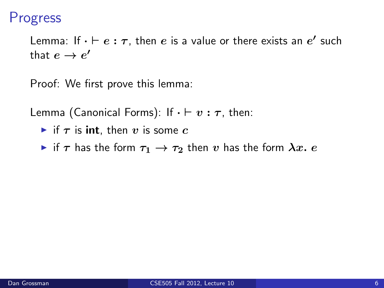## Progress

Lemma: If  $\cdot \vdash e : \tau$ , then  $e$  is a value or there exists an  $e'$  such that  $e \to e'$ 

Proof: We first prove this lemma:

Lemma (Canonical Forms): If  $\cdot \vdash v : \tau$ , then:

- In if  $\tau$  is **int**, then v is some c
- $\triangleright$  if  $\tau$  has the form  $\tau_1 \rightarrow \tau_2$  then v has the form  $\lambda x. e$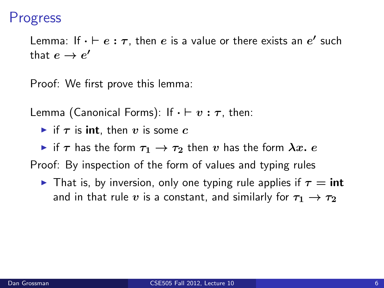## Progress

Lemma: If  $\cdot \vdash e : \tau$ , then  $e$  is a value or there exists an  $e'$  such that  $e \to e'$ 

Proof: We first prove this lemma:

Lemma (Canonical Forms): If  $\cdot \vdash v : \tau$ , then:

In if  $\tau$  is **int**, then v is some c

 $\triangleright$  if  $\tau$  has the form  $\tau_1 \rightarrow \tau_2$  then v has the form  $\lambda x. e$ 

Proof: By inspection of the form of values and typing rules

**If** That is, by inversion, only one typing rule applies if  $\tau = \text{int}$ and in that rule v is a constant, and similarly for  $\tau_1 \rightarrow \tau_2$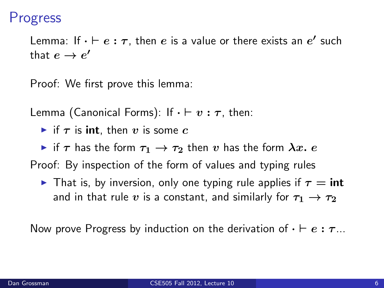## Progress

Lemma: If  $\cdot \vdash e : \tau$ , then  $e$  is a value or there exists an  $e'$  such that  $e \to e'$ 

Proof: We first prove this lemma:

Lemma (Canonical Forms): If  $\cdot \vdash v : \tau$ , then:

In if  $\tau$  is **int**, then v is some c

 $\triangleright$  if  $\tau$  has the form  $\tau_1 \rightarrow \tau_2$  then  $v$  has the form  $\lambda x.$   $e$ 

Proof: By inspection of the form of values and typing rules

**Figure 1** That is, by inversion, only one typing rule applies if  $\tau = \text{int}$ and in that rule v is a constant, and similarly for  $\tau_1 \rightarrow \tau_2$ 

Now prove Progress by induction on the derivation of  $\cdot \vdash e : \tau ...$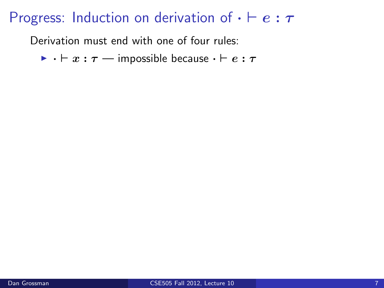Derivation must end with one of four rules:

 $\triangleright$   $\cdot \vdash x : \tau$  — impossible because  $\cdot \vdash e : \tau$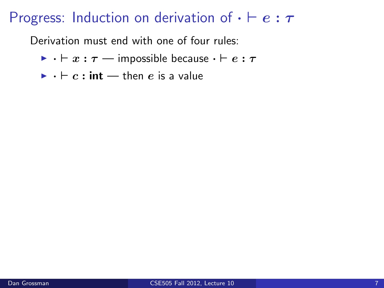- $\triangleright$   $\cdot \vdash x : \tau$  impossible because  $\cdot \vdash e : \tau$
- $\blacktriangleright$   $\cdot \vdash c : \mathsf{int} \longrightarrow \mathsf{then} \; e$  is a value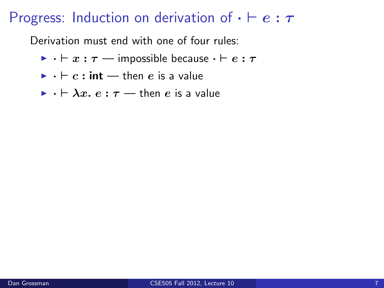- $\triangleright$   $\cdot \vdash x : \tau$  impossible because  $\cdot \vdash e : \tau$
- $\blacktriangleright$   $\cdot \vdash c : \mathsf{int} \longrightarrow \mathsf{then} \; e$  is a value
- $\triangleright$   $\cdot \vdash \lambda x$ .  $e : \tau \rightarrow$  then e is a value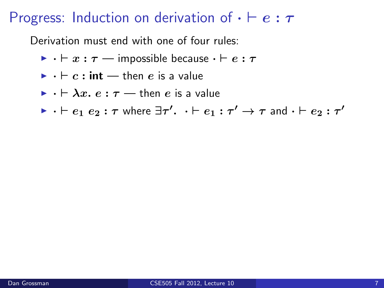- $\triangleright$   $\cdot \vdash x : \tau$  impossible because  $\cdot \vdash e : \tau$
- $\blacktriangleright$   $\cdot \vdash c : \mathsf{int} \rightarrow \mathsf{then} \; e$  is a value
- $\triangleright$   $\cdot \vdash \lambda x$ .  $e : \tau \rightarrow$  then e is a value
- $\blacktriangleright$   $\cdot \vdash e_1 \ e_2 : \tau$  where  $\exists \tau' \cdot \ldots \vdash e_1 : \tau' \rightarrow \tau$  and  $\cdot \vdash e_2 : \tau'$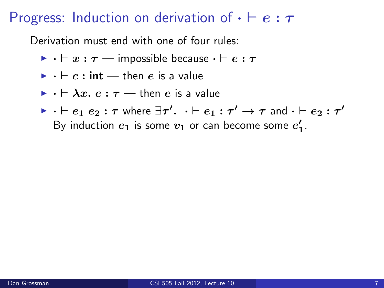- $\triangleright$   $\cdot \vdash x : \tau$  impossible because  $\cdot \vdash e : \tau$
- $\blacktriangleright$   $\cdot \vdash c : \mathsf{int} \rightarrow \mathsf{then} \; e$  is a value
- $\triangleright$   $\cdot \vdash \lambda x$ .  $e : \tau \rightarrow$  then  $e$  is a value
- $\blacktriangleright$   $\cdot \vdash e_1 \ e_2 : \tau$  where  $\exists \tau' \cdot \ldots \vdash e_1 : \tau' \rightarrow \tau$  and  $\cdot \vdash e_2 : \tau'$ By induction  $e_1$  is some  $v_1$  or can become some  $e'_1$ .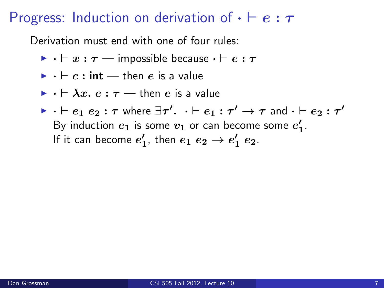- $\triangleright$   $\cdot \vdash x : \tau$  impossible because  $\cdot \vdash e : \tau$
- $\blacktriangleright$   $\cdot \vdash c : \mathsf{int} \rightarrow \mathsf{then} \; e$  is a value
- $\triangleright$   $\cdot \vdash \lambda x$ .  $e : \tau \rightarrow$  then  $e$  is a value
- $\blacktriangleright$   $\cdot \vdash e_1 \ e_2 : \tau$  where  $\exists \tau' \cdot \ldots \vdash e_1 : \tau' \rightarrow \tau$  and  $\cdot \vdash e_2 : \tau'$ By induction  $e_1$  is some  $v_1$  or can become some  $e'_1$ . If it can become  $e'_1$ , then  $e_1 e_2 \rightarrow e'_1 e_2$ .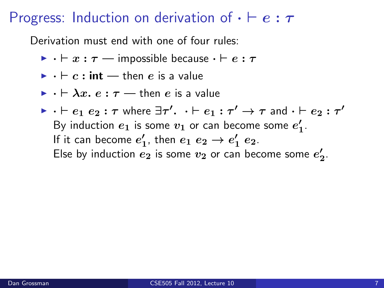- $\triangleright$   $\cdot \vdash x : \tau$  impossible because  $\cdot \vdash e : \tau$
- $\blacktriangleright$   $\cdot \vdash c : \mathsf{int} \rightarrow \mathsf{then} \; e$  is a value
- $\triangleright$   $\cdot \vdash \lambda x. e : \tau \rightarrow$  then e is a value
- $\blacktriangleright$   $\cdot \vdash e_1 \ e_2 : \tau$  where  $\exists \tau' \cdot \ldots \vdash e_1 : \tau' \rightarrow \tau$  and  $\cdot \vdash e_2 : \tau'$ By induction  $e_1$  is some  $v_1$  or can become some  $e'_1$ . If it can become  $e'_1$ , then  $e_1 e_2 \rightarrow e'_1 e_2$ . Else by induction  $e_2$  is some  $v_2$  or can become some  $e_2'$ .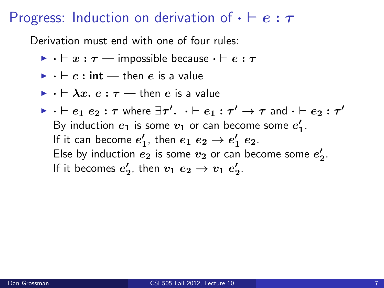- $\triangleright$   $\cdot \vdash x : \tau$  impossible because  $\cdot \vdash e : \tau$
- $\blacktriangleright$   $\cdot \vdash c : \mathsf{int} \rightarrow \mathsf{then} \; e$  is a value
- $\triangleright$   $\cdot \vdash \lambda x$ .  $e : \tau \rightarrow$  then  $e$  is a value
- $\blacktriangleright$   $\cdot \vdash e_1 \ e_2 : \tau$  where  $\exists \tau' \cdot \ldots \vdash e_1 : \tau' \rightarrow \tau$  and  $\cdot \vdash e_2 : \tau'$ By induction  $e_1$  is some  $v_1$  or can become some  $e'_1$ . If it can become  $e'_1$ , then  $e_1 e_2 \rightarrow e'_1 e_2$ . Else by induction  $e_2$  is some  $v_2$  or can become some  $e_2'$ . If it becomes  $e_2'$ , then  $v_1 e_2 \rightarrow v_1 e_2'$ .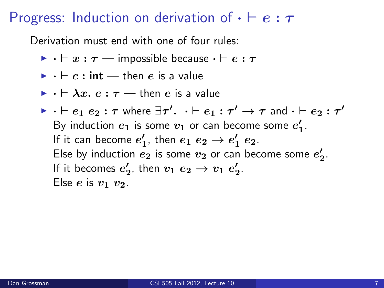- $\triangleright$   $\cdot \vdash x : \tau$  impossible because  $\cdot \vdash e : \tau$
- $\blacktriangleright$   $\cdot \vdash c : \mathsf{int} \rightarrow \mathsf{then} \; e$  is a value
- $\triangleright$   $\cdot \vdash \lambda x$ .  $e : \tau \rightarrow$  then  $e$  is a value
- $\blacktriangleright$   $\cdot \vdash e_1 \ e_2 : \tau$  where  $\exists \tau' \cdot \ldots \vdash e_1 : \tau' \rightarrow \tau$  and  $\cdot \vdash e_2 : \tau'$ By induction  $e_1$  is some  $v_1$  or can become some  $e'_1$ . If it can become  $e'_1$ , then  $e_1 e_2 \rightarrow e'_1 e_2$ . Else by induction  $e_2$  is some  $v_2$  or can become some  $e_2'$ . If it becomes  $e_2'$ , then  $v_1 e_2 \rightarrow v_1 e_2'$ . Else *e* is  $v_1$   $v_2$ .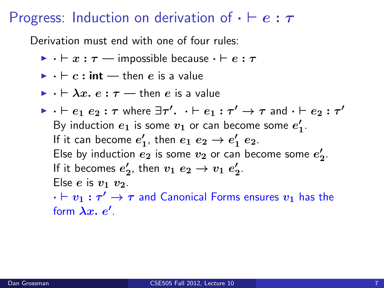Derivation must end with one of four rules:

- $\triangleright$   $\cdot \vdash x : \tau$  impossible because  $\cdot \vdash e : \tau$
- $\blacktriangleright$   $\cdot \vdash c : \mathsf{int} \rightarrow \mathsf{then} \; e$  is a value
- $\triangleright$   $\cdot \vdash \lambda x$ .  $e : \tau \rightarrow$  then  $e$  is a value
- $\blacktriangleright$   $\cdot \vdash e_1 \ e_2 : \tau$  where  $\exists \tau' \cdot \ldots \vdash e_1 : \tau' \rightarrow \tau$  and  $\cdot \vdash e_2 : \tau'$ By induction  $e_1$  is some  $v_1$  or can become some  $e'_1$ . If it can become  $e'_1$ , then  $e_1 e_2 \rightarrow e'_1 e_2$ . Else by induction  $e_2$  is some  $v_2$  or can become some  $e_2'$ . If it becomes  $e_2'$ , then  $v_1 e_2 \rightarrow v_1 e_2'$ . Else *e* is  $v_1$   $v_2$ .

 $\cdot \vdash v_1 : \tau' \to \tau$  and Canonical Forms ensures  $v_1$  has the form  $\lambda x. e'.$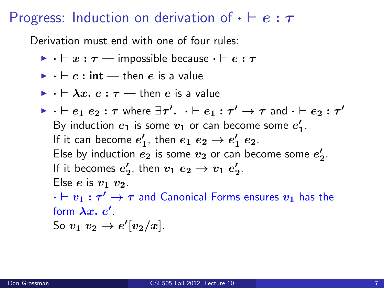- $\triangleright$   $\cdot \vdash x : \tau$  impossible because  $\cdot \vdash e : \tau$
- $\blacktriangleright$   $\cdot \vdash c : \mathsf{int} \longrightarrow \mathsf{then} \; e$  is a value
- $\triangleright$   $\cdot \vdash \lambda x$ .  $e : \tau \rightarrow$  then e is a value

\n- $$
\cdot \vdash e_1 \ e_2 : \tau
$$
 where  $\exists \tau' \cdot \cdot \vdash e_1 : \tau' \rightarrow \tau$  and  $\cdot \vdash e_2 : \tau'$ . By induction  $e_1$  is some  $v_1$  or can become some  $e'_1$ . If it can become  $e'_1$ , then  $e_1 \ e_2 \rightarrow e'_1 \ e_2$ . Else by induction  $e_2$  is some  $v_2$  or can become some  $e'_2$ . If it becomes  $e'_2$ , then  $v_1 \ e_2 \rightarrow v_1 \ e'_2$ . Else  $e$  is  $v_1 \ v_2$ .  $\cdot \vdash v_1 : \tau' \rightarrow \tau$  and Canonical Forms ensures  $v_1$  has the form  $\lambda x$ .  $e'$ .
\n

So 
$$
v_1 v_2 \rightarrow e'[v_2/x]
$$
.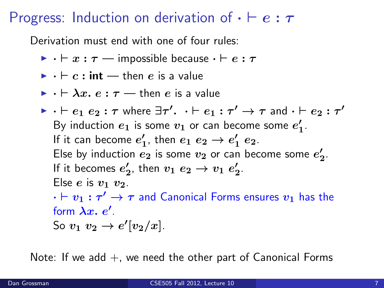Derivation must end with one of four rules:

 $\triangleright$   $\cdot \vdash x : \tau$  — impossible because  $\cdot \vdash e : \tau$ 

$$
\blacktriangleright \cdot \vdash c : \mathsf{int} \rightharpoonup \mathsf{then} \ e \ \mathsf{is} \ \mathsf{a} \ \mathsf{value}
$$

$$
\blacktriangleright \cdot \vdash \lambda x.\ e:\tau \rightharpoonup \text{then } e \text{ is a value}
$$

\n- ▶ 
$$
\cdot \vdash e_1 \cdot e_2 : \tau
$$
 where  $\exists \tau' \cdot \cdot \vdash e_1 : \tau' \rightarrow \tau$  and  $\cdot \vdash e_2 : \tau'$ . By induction  $e_1$  is some  $v_1$  or can become some  $e'_1$ . If it can become  $e'_1$ , then  $e_1 \cdot e_2 \rightarrow e'_1 \cdot e_2$ . Else by induction  $e_2$  is some  $v_2$  or can become some  $e'_2$ . If it becomes  $e'_2$ , then  $v_1 \cdot e_2 \rightarrow v_1 \cdot e'_2$ . Else  $e$  is  $v_1 \cdot v_2$ .  $\cdot \vdash v_1 : \tau' \rightarrow \tau$  and Canonical Forms ensures  $v_1$  has the form  $\lambda x$ .  $e'$ . So  $v_1 \cdot v_2 \rightarrow e'[v_2/x]$ .
\n

Note: If we add  $+$ , we need the other part of Canonical Forms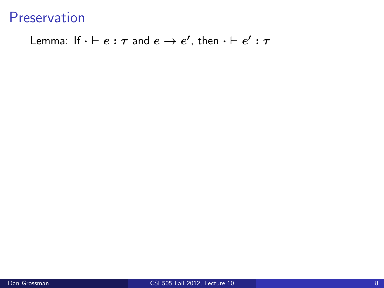Lemma: If  $\cdot \vdash e : \tau$  and  $e \rightarrow e'$ , then  $\cdot \vdash e' : \tau$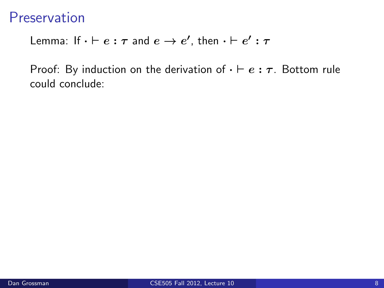Lemma: If  $\cdot \vdash e : \tau$  and  $e \rightarrow e'$ , then  $\cdot \vdash e' : \tau$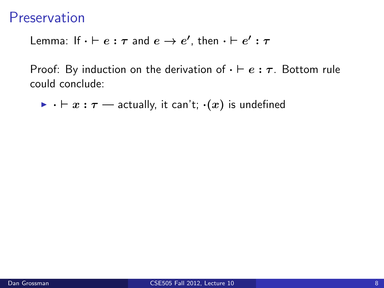Lemma: If  $\cdot \vdash e : \tau$  and  $e \rightarrow e'$ , then  $\cdot \vdash e' : \tau$ 

Proof: By induction on the derivation of  $\cdot \vdash e : \tau$ . Bottom rule could conclude:

 $\triangleright$   $\cdot \vdash x : \tau$  — actually, it can't;  $\cdot(x)$  is undefined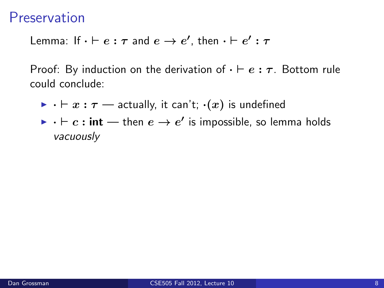Lemma: If  $\cdot \vdash e : \tau$  and  $e \rightarrow e'$ , then  $\cdot \vdash e' : \tau$ 

- $\triangleright \cdot \vdash x : \tau \longrightarrow$  actually, it can't;  $\cdot(x)$  is undefined
- $\blacktriangleright\cdot\vdash c:\mathsf{int} \longrightarrow \mathsf{then}\; e \rightarrow e'$  is impossible, so lemma holds vacuously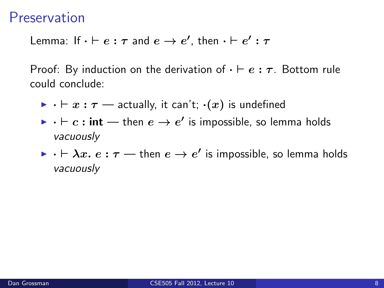Lemma: If  $\cdot \vdash e : \tau$  and  $e \rightarrow e'$ , then  $\cdot \vdash e' : \tau$ 

- $\triangleright$   $\cdot \vdash x : \tau$  actually, it can't;  $\cdot(x)$  is undefined
- $\blacktriangleright\cdot\vdash c:\mathsf{int} \longrightarrow \mathsf{then}\; e \rightarrow e'$  is impossible, so lemma holds vacuously
- $\blacktriangleright\cdot\vdash\lambda x.\ e:\tau$  then  $e\to e'$  is impossible, so lemma holds vacuously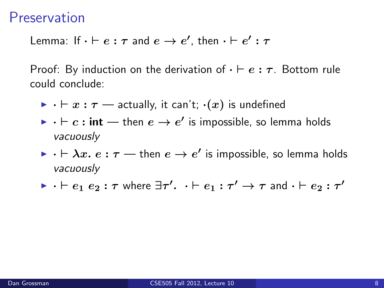Lemma: If  $\cdot \vdash e : \tau$  and  $e \rightarrow e'$ , then  $\cdot \vdash e' : \tau$ 

- $\triangleright \cdot \vdash x : \tau \longrightarrow$  actually, it can't;  $\cdot(x)$  is undefined
- $\blacktriangleright\cdot\vdash c:\mathsf{int} \longrightarrow \mathsf{then}\; e \rightarrow e'$  is impossible, so lemma holds vacuously
- $\blacktriangleright\cdot\vdash\lambda x.\ e:\tau$  then  $e\to e'$  is impossible, so lemma holds vacuously
- $\blacktriangleright$   $\cdot \vdash e_1 \ e_2 : \tau$  where  $\exists \tau' \cdot \ldots \vdash e_1 : \tau' \rightarrow \tau$  and  $\cdot \vdash e_2 : \tau'$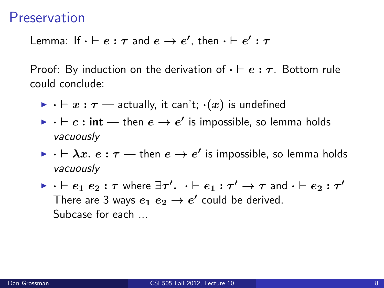Lemma: If  $\cdot \vdash e : \tau$  and  $e \rightarrow e'$ , then  $\cdot \vdash e' : \tau$ 

- $\triangleright \cdot \vdash x : \tau \longrightarrow$  actually, it can't;  $\cdot(x)$  is undefined
- $\blacktriangleright\cdot\vdash c:\mathsf{int} \longrightarrow \mathsf{then}\; e \rightarrow e'$  is impossible, so lemma holds vacuously
- $\blacktriangleright\cdot\vdash\lambda x.\ e:\tau$  then  $e\to e'$  is impossible, so lemma holds vacuously
- $\blacktriangleright$   $\cdot \vdash e_1 \ e_2 : \tau$  where  $\exists \tau' \cdot \ldots \vdash e_1 : \tau' \rightarrow \tau$  and  $\cdot \vdash e_2 : \tau'$ There are 3 ways  $e_1 e_2 \rightarrow e'$  could be derived. Subcase for each ...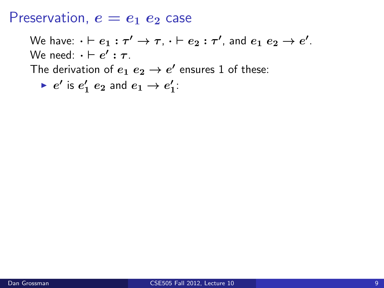$$
\blacktriangleright e' \text{ is } e'_1 \ e_2 \text{ and } e_1 \to e'_1:
$$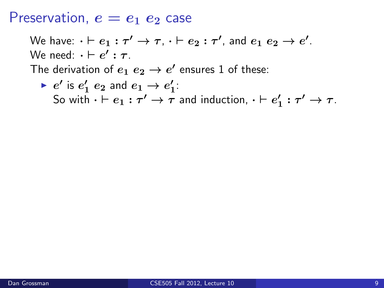\n- $$
e'
$$
 is  $e'_1 e_2$  and  $e_1 \rightarrow e'_1$ :
\n- So with  $\cdot \vdash e_1 : \tau' \rightarrow \tau$  and induction,  $\cdot \vdash e'_1 : \tau' \rightarrow \tau$ .
\n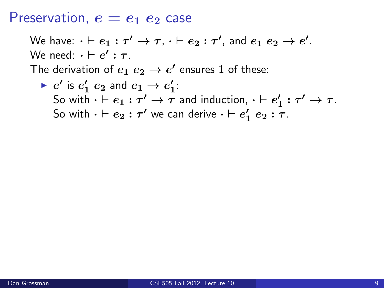\n- $$
e'
$$
 is  $e'_1 e_2$  and  $e_1 \rightarrow e'_1$ :
\n- So with  $\cdot \vdash e_1 : \tau' \rightarrow \tau$  and induction,  $\cdot \vdash e'_1 : \tau' \rightarrow \tau$ .
\n- So with  $\cdot \vdash e_2 : \tau'$  we can derive  $\cdot \vdash e'_1 e_2 : \tau$ .
\n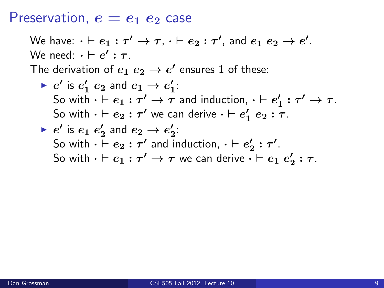We have:  $\cdot \vdash e_1 : \tau' \to \tau, \, \cdot \vdash e_2 : \tau',$  and  $e_1 \; e_2 \to e'.$ We need:  $\cdot \vdash e' : \tau$ . The derivation of  $e_1$   $e_2 \rightarrow e'$  ensures 1 of these:  $\blacktriangleright$   $e'$  is  $e'_1$   $e_2$  and  $e_1 \rightarrow e'_1$ : So with  $\cdot \vdash e_1 : \tau' \to \tau$  and induction,  $\cdot \vdash e'_1 : \tau' \to \tau$ . So with  $\cdot \vdash e_2 : \tau'$  we can derive  $\cdot \vdash e'_1 \; e_2 : \tau$ .  $\blacktriangleright$   $e'$  is  $e_1$   $e'_2$  and  $e_2 \rightarrow e'_2$ : So with  $\cdot \vdash e_2 : \tau'$  and induction,  $\cdot \vdash e'_2 : \tau'.$ 

So with  $\cdot \vdash e_1 : \tau' \to \tau$  we can derive  $\cdot \vdash e_1 \; e'_2 : \tau$ .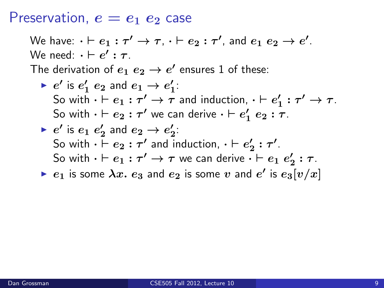\n- $$
e'
$$
 is  $e'_1 e_2$  and  $e_1 \rightarrow e'_1$ :
\n- So with  $\cdot \vdash e_1 : \tau' \rightarrow \tau$  and induction,  $\cdot \vdash e'_1 : \tau' \rightarrow \tau$ .
\n- So with  $\cdot \vdash e_2 : \tau'$  we can derive  $\cdot \vdash e'_1 e_2 : \tau$ .
\n

\n- $$
e'
$$
 is  $e_1 e'_2$  and  $e_2 \rightarrow e'_2$ :
\n- So with  $\cdot \vdash e_2 : \tau'$  and induction,  $\cdot \vdash e'_2 : \tau'$ .
\n- So with  $\cdot \vdash e_1 : \tau' \rightarrow \tau$  we can derive  $\cdot \vdash e_1 e'_2 : \tau$ .
\n

• 
$$
e_1
$$
 is some  $\lambda x$ .  $e_3$  and  $e_2$  is some v and e' is  $e_3[v/x]$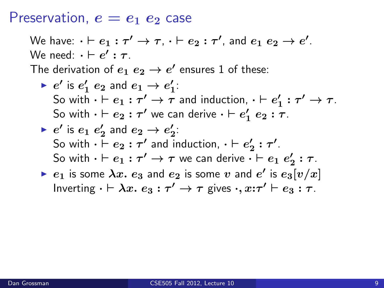We have:  $\cdot \vdash e_1 : \tau' \to \tau, \, \cdot \vdash e_2 : \tau',$  and  $e_1 \; e_2 \to e'.$ We need:  $\cdot \vdash e' : \tau$ . The derivation of  $e_1$   $e_2 \rightarrow e'$  ensures 1 of these:  $\blacktriangleright$   $e'$  is  $e'_1$   $e_2$  and  $e_1 \rightarrow e'_1$ : So with  $\cdot \vdash e_1 : \tau' \to \tau$  and induction,  $\cdot \vdash e'_1 : \tau' \to \tau$ . So with  $\cdot \vdash e_2 : \tau'$  we can derive  $\cdot \vdash e'_1 \; e_2 : \tau$ .  $\blacktriangleright$   $e'$  is  $e_1$   $e'_2$  and  $e_2 \rightarrow e'_2$ : So with  $\cdot \vdash e_2 : \tau'$  and induction,  $\cdot \vdash e'_2 : \tau'.$ So with  $\cdot \vdash e_1 : \tau' \to \tau$  we can derive  $\cdot \vdash e_1 \; e'_2 : \tau$ .

 $\blacktriangleright$   $e_1$  is some  $\lambda x.$   $e_3$  and  $e_2$  is some  $v$  and  $e'$  is  $e_3[v/x]$ Inverting  $\cdot \vdash \lambda x.\ e_3 : \tau' \to \tau$  gives  $\cdot, x{:}\tau' \vdash e_3 : \tau$ .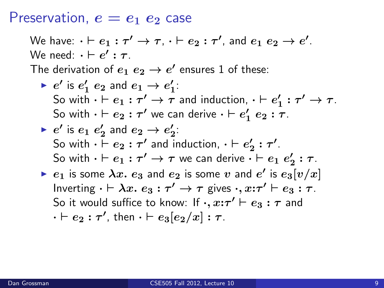We have:  $\cdot \vdash e_1 : \tau' \to \tau, \, \cdot \vdash e_2 : \tau',$  and  $e_1 \; e_2 \to e'.$ We need:  $\cdot \vdash e' : \tau$ . The derivation of  $e_1$   $e_2 \rightarrow e'$  ensures 1 of these:  $\blacktriangleright$   $e'$  is  $e'_1$   $e_2$  and  $e_1 \rightarrow e'_1$ : So with  $\cdot \vdash e_1 : \tau' \to \tau$  and induction,  $\cdot \vdash e'_1 : \tau' \to \tau$ . So with  $\cdot \vdash e_2 : \tau'$  we can derive  $\cdot \vdash e'_1 \; e_2 : \tau$ .  $\blacktriangleright$   $e'$  is  $e_1$   $e'_2$  and  $e_2 \rightarrow e'_2$ : So with  $\cdot \vdash e_2 : \tau'$  and induction,  $\cdot \vdash e'_2 : \tau'.$ So with  $\cdot \vdash e_1 : \tau' \to \tau$  we can derive  $\cdot \vdash e_1 \; e'_2 : \tau$ .  $\blacktriangleright$   $e_1$  is some  $\lambda x.$   $e_3$  and  $e_2$  is some  $v$  and  $e'$  is  $e_3[v/x]$ Inverting  $\cdot \vdash \lambda x.\ e_3 : \tau' \to \tau$  gives  $\cdot, x{:}\tau' \vdash e_3 : \tau$ . So it would suffice to know: If  $\cdot, x \mathpunct{:}\tau' \vdash e_3 : \tau$  and  $\cdot \vdash e_2 : \tau',$  then  $\cdot \vdash e_3 [e_2/x] : \tau.$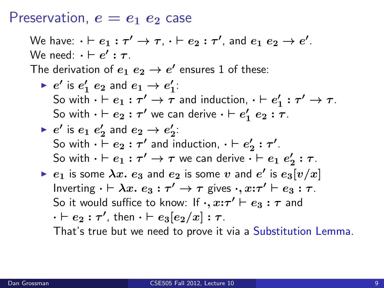We have:  $\cdot \vdash e_1 : \tau' \to \tau, \, \cdot \vdash e_2 : \tau',$  and  $e_1 \; e_2 \to e'.$ We need:  $\cdot \vdash e' : \tau$ . The derivation of  $e_1$   $e_2 \rightarrow e'$  ensures 1 of these:  $\blacktriangleright$   $e'$  is  $e'_1$   $e_2$  and  $e_1 \rightarrow e'_1$ : So with  $\cdot \vdash e_1 : \tau' \to \tau$  and induction,  $\cdot \vdash e'_1 : \tau' \to \tau$ . So with  $\cdot \vdash e_2 : \tau'$  we can derive  $\cdot \vdash e'_1 \; e_2 : \tau$ .  $\blacktriangleright$   $e'$  is  $e_1$   $e'_2$  and  $e_2 \rightarrow e'_2$ : So with  $\cdot \vdash e_2 : \tau'$  and induction,  $\cdot \vdash e'_2 : \tau'.$ So with  $\cdot \vdash e_1 : \tau' \to \tau$  we can derive  $\cdot \vdash e_1 \; e'_2 : \tau$ .  $\blacktriangleright$   $e_1$  is some  $\lambda x.$   $e_3$  and  $e_2$  is some  $v$  and  $e'$  is  $e_3[v/x]$ Inverting  $\cdot \vdash \lambda x.\ e_3 : \tau' \to \tau$  gives  $\cdot, x{:}\tau' \vdash e_3 : \tau$ . So it would suffice to know: If  $\cdot, x \mathpunct{:}\tau' \vdash e_3 : \tau$  and  $\cdot \vdash e_2 : \tau',$  then  $\cdot \vdash e_3 [e_2/x] : \tau.$ 

That's true but we need to prove it via a Substitution Lemma.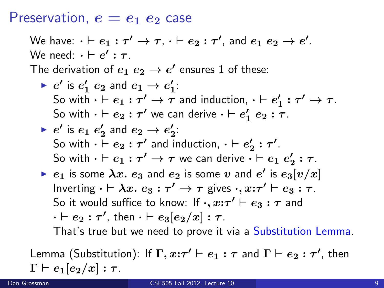We have:  $\cdot \vdash e_1 : \tau' \to \tau, \, \cdot \vdash e_2 : \tau',$  and  $e_1 \; e_2 \to e'.$ We need:  $\cdot \vdash e' : \tau$ . The derivation of  $e_1$   $e_2 \rightarrow e'$  ensures 1 of these:  $\blacktriangleright$   $e'$  is  $e'_1$   $e_2$  and  $e_1 \rightarrow e'_1$ : So with  $\cdot \vdash e_1 : \tau' \to \tau$  and induction,  $\cdot \vdash e'_1 : \tau' \to \tau$ . So with  $\cdot \vdash e_2 : \tau'$  we can derive  $\cdot \vdash e'_1 \; e_2 : \tau$ .  $\blacktriangleright$   $e'$  is  $e_1$   $e'_2$  and  $e_2 \rightarrow e'_2$ : So with  $\cdot \vdash e_2 : \tau'$  and induction,  $\cdot \vdash e'_2 : \tau'.$ So with  $\cdot \vdash e_1 : \tau' \to \tau$  we can derive  $\cdot \vdash e_1 \; e'_2 : \tau$ .  $\blacktriangleright$   $e_1$  is some  $\lambda x.$   $e_3$  and  $e_2$  is some  $v$  and  $e'$  is  $e_3[v/x]$ Inverting  $\cdot \vdash \lambda x.\ e_3 : \tau' \to \tau$  gives  $\cdot, x{:}\tau' \vdash e_3 : \tau$ . So it would suffice to know: If  $\cdot, x \mathpunct{:}\tau' \vdash e_3 : \tau$  and  $\cdot \vdash e_2 : \tau',$  then  $\cdot \vdash e_3 [e_2/x] : \tau.$ 

That's true but we need to prove it via a Substitution Lemma.

Lemma (Substitution): If  $\Gamma, x \mathpunct{:}\tau' \vdash e_1 : \tau$  and  $\Gamma \vdash e_2 : \tau'$ , then  $\Gamma \vdash e_1[e_2/x] : \tau$  .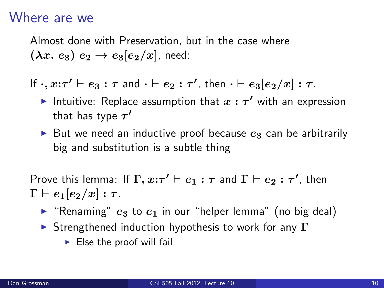## Where are we

Almost done with Preservation, but in the case where  $(\lambda x. e_3) e_2 \rightarrow e_3[e_2/x]$ , need:

If  $\cdot, x{:}\tau' \vdash e_3 : \tau$  and  $\cdot \vdash e_2 : \tau'$ , then  $\cdot \vdash e_3[e_2/x] : \tau$ .

- Intuitive: Replace assumption that  $x : \tau'$  with an expression that has type  $\tau'$
- But we need an inductive proof because  $e_3$  can be arbitrarily big and substitution is a subtle thing

Prove this lemma: If  $\Gamma, x \mathpunct{:}\tau' \vdash e_1 : \tau$  and  $\Gamma \vdash e_2 : \tau'$ , then  $\Gamma \vdash e_1[e_2/x] : \tau$ .

- **F** "Renaming"  $e_3$  to  $e_1$  in our "helper lemma" (no big deal)
- **I** Strengthened induction hypothesis to work for any  $\Gamma$ 
	- $\blacktriangleright$  Else the proof will fail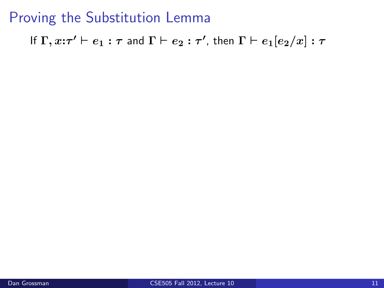If  $\Gamma, x \mathpunct{:}\tau' \vdash e_1 : \tau$  and  $\Gamma \vdash e_2 : \tau'$ , then  $\Gamma \vdash e_1 [e_2 / x] : \tau$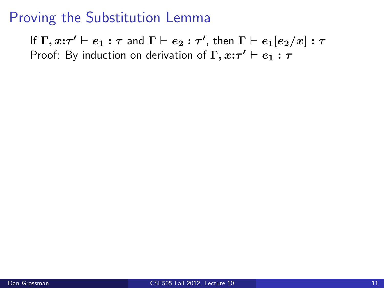If  $\Gamma, x \mathpunct{:}\tau' \vdash e_1 : \tau$  and  $\Gamma \vdash e_2 : \tau'$ , then  $\Gamma \vdash e_1 [e_2 / x] : \tau$ Proof: By induction on derivation of  $\Gamma, x:\tau' \vdash e_1 : \tau$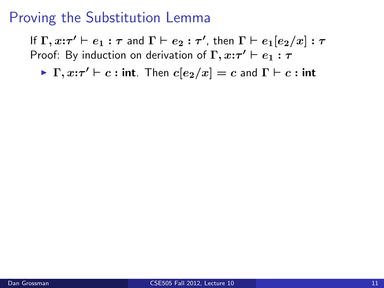If  $\Gamma, x \mathpunct{:}\tau' \vdash e_1 : \tau$  and  $\Gamma \vdash e_2 : \tau'$ , then  $\Gamma \vdash e_1 [e_2 / x] : \tau$ Proof: By induction on derivation of  $\Gamma, x:\tau' \vdash e_1 : \tau$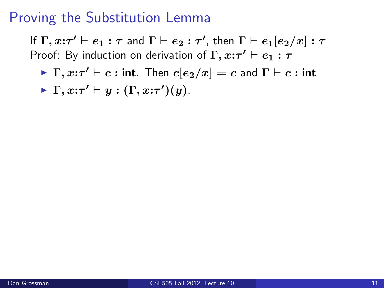If  $\Gamma, x \mathpunct{:}\tau' \vdash e_1 : \tau$  and  $\Gamma \vdash e_2 : \tau'$ , then  $\Gamma \vdash e_1 [e_2 / x] : \tau$ Proof: By induction on derivation of  $\Gamma, x:\tau' \vdash e_1 : \tau$ 

$$
\blacktriangleright \Gamma, x{:}\tau' \vdash y : (\Gamma, x{:}\tau')(y).
$$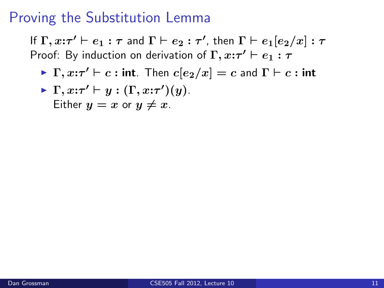If  $\Gamma, x \mathpunct{:}\tau' \vdash e_1 : \tau$  and  $\Gamma \vdash e_2 : \tau'$ , then  $\Gamma \vdash e_1 [e_2 / x] : \tau$ Proof: By induction on derivation of  $\Gamma, x:\tau' \vdash e_1 : \tau$ 

• 
$$
\Gamma, x:\tau' \vdash y : (\Gamma, x:\tau')(y)
$$
.  
Either  $y = x$  or  $y \neq x$ .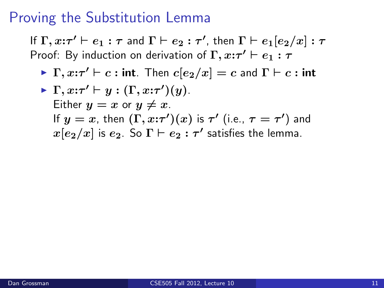If  $\Gamma, x \mathpunct{:}\tau' \vdash e_1 : \tau$  and  $\Gamma \vdash e_2 : \tau'$ , then  $\Gamma \vdash e_1 [e_2 / x] : \tau$ Proof: By induction on derivation of  $\Gamma, x:\tau' \vdash e_1 : \tau$ 

\n- $$
\Gamma, x:\tau' \vdash y : (\Gamma, x:\tau')(y)
$$
.
\n- Either  $y = x$  or  $y \neq x$ .
\n- If  $y = x$ , then  $(\Gamma, x:\tau')(x)$  is  $\tau'$  (i.e.,  $\tau = \tau'$ ) and  $x[e_2/x]$  is  $e_2$ . So  $\Gamma \vdash e_2 : \tau'$  satisfies the lemma.
\n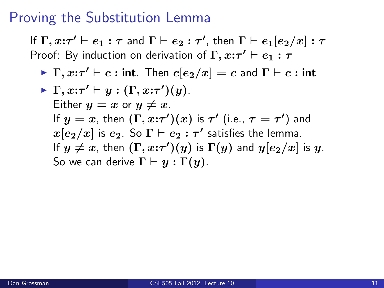If  $\Gamma, x \mathpunct{:}\tau' \vdash e_1 : \tau$  and  $\Gamma \vdash e_2 : \tau'$ , then  $\Gamma \vdash e_1 [e_2 / x] : \tau$ Proof: By induction on derivation of  $\Gamma, x:\tau' \vdash e_1 : \tau$ 

\n- $$
\Gamma, x:\tau' \vdash y : (\Gamma, x:\tau')(y)
$$
.
\n- Either  $y = x$  or  $y \neq x$ .
\n- If  $y = x$ , then  $(\Gamma, x:\tau')(x)$  is  $\tau'$  (i.e.,  $\tau = \tau'$ ) and  $x[e_2/x]$  is  $e_2$ . So  $\Gamma \vdash e_2 : \tau'$  satisfies the lemma.
\n- If  $y \neq x$ , then  $(\Gamma, x:\tau')(y)$  is  $\Gamma(y)$  and  $y[e_2/x]$  is  $y$ . So we can derive  $\Gamma \vdash y : \Gamma(y)$ .
\n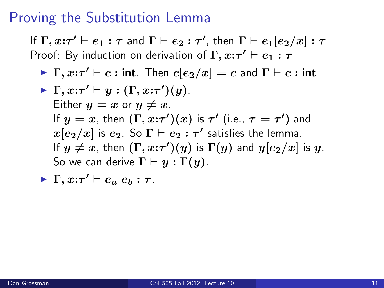If  $\Gamma, x \mathpunct{:}\tau' \vdash e_1 : \tau$  and  $\Gamma \vdash e_2 : \tau'$ , then  $\Gamma \vdash e_1 [e_2 / x] : \tau$ Proof: By induction on derivation of  $\Gamma, x:\tau' \vdash e_1 : \tau$ 

\n- $$
\Gamma, x:\tau' \vdash y : (\Gamma, x:\tau')(y)
$$
.
\n- Either  $y = x$  or  $y \neq x$ .
\n- If  $y = x$ , then  $(\Gamma, x:\tau')(x)$  is  $\tau'$  (i.e.,  $\tau = \tau'$ ) and  $x[e_2/x]$  is  $e_2$ . So  $\Gamma \vdash e_2 : \tau'$  satisfies the lemma.
\n- If  $y \neq x$ , then  $(\Gamma, x:\tau')(y)$  is  $\Gamma(y)$  and  $y[e_2/x]$  is  $y$ . So we can derive  $\Gamma \vdash y : \Gamma(y)$ .
\n- $\Gamma, x:\tau' \vdash e_a e_b : \tau$ .
\n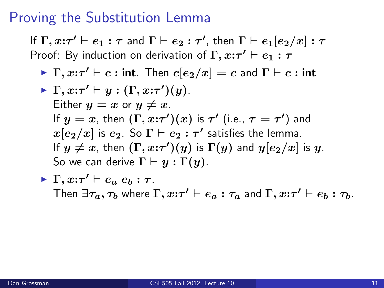If  $\Gamma, x \mathpunct{:}\tau' \vdash e_1 : \tau$  and  $\Gamma \vdash e_2 : \tau'$ , then  $\Gamma \vdash e_1 [e_2 / x] : \tau$ Proof: By induction on derivation of  $\Gamma, x:\tau' \vdash e_1 : \tau$ 

\n- $$
\Gamma, x:\tau' \vdash y : (\Gamma, x:\tau')(y)
$$
.
\n- Either  $y = x$  or  $y \neq x$ .
\n- If  $y = x$ , then  $(\Gamma, x:\tau')(x)$  is  $\tau'$  (i.e.,  $\tau = \tau'$ ) and  $x[e_2/x]$  is  $e_2$ . So  $\Gamma \vdash e_2 : \tau'$  satisfies the lemma.
\n- If  $y \neq x$ , then  $(\Gamma, x:\tau')(y)$  is  $\Gamma(y)$  and  $y[e_2/x]$  is  $y$ . So we can derive  $\Gamma \vdash y : \Gamma(y)$ .
\n

$$
\triangleright \Gamma, x:\tau' \vdash e_a \ e_b : \tau.
$$
  
Then  $\exists \tau_a, \tau_b$  where  $\Gamma, x:\tau' \vdash e_a : \tau_a$  and  $\Gamma, x:\tau' \vdash e_b : \tau_b$ .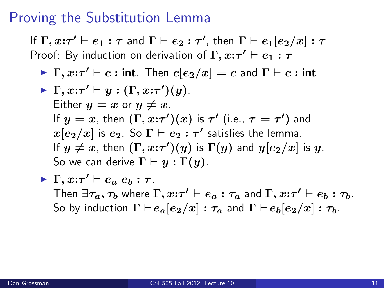If  $\Gamma, x \mathpunct{:}\tau' \vdash e_1 : \tau$  and  $\Gamma \vdash e_2 : \tau'$ , then  $\Gamma \vdash e_1 [e_2 / x] : \tau$ Proof: By induction on derivation of  $\Gamma, x:\tau' \vdash e_1 : \tau$ 

\n- $$
\Gamma, x:\tau' \vdash y : (\Gamma, x:\tau')(y)
$$
.
\n- Either  $y = x$  or  $y \neq x$ .
\n- If  $y = x$ , then  $(\Gamma, x:\tau')(x)$  is  $\tau'$  (i.e.,  $\tau = \tau'$ ) and  $x[e_2/x]$  is  $e_2$ . So  $\Gamma \vdash e_2 : \tau'$  satisfies the lemma.
\n- If  $y \neq x$ , then  $(\Gamma, x:\tau')(y)$  is  $\Gamma(y)$  and  $y[e_2/x]$  is  $y$ . So we can derive  $\Gamma \vdash y : \Gamma(y)$ .
\n

\n- $$
\Gamma
$$
,  $x:\tau' \vdash e_a \ e_b : \tau$ . Then  $\exists \tau_a, \tau_b$  where  $\Gamma$ ,  $x:\tau' \vdash e_a : \tau_a$  and  $\Gamma$ ,  $x:\tau' \vdash e_b : \tau_b$ . So by induction  $\Gamma \vdash e_a[e_2/x] : \tau_a$  and  $\Gamma \vdash e_b[e_2/x] : \tau_b$ .
\n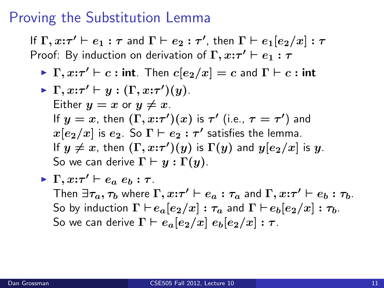If  $\Gamma, x \mathpunct{:}\tau' \vdash e_1 : \tau$  and  $\Gamma \vdash e_2 : \tau'$ , then  $\Gamma \vdash e_1 [e_2 / x] : \tau$ Proof: By induction on derivation of  $\Gamma, x:\tau' \vdash e_1 : \tau$ 

\n- $$
\Gamma, x:\tau' \vdash y : (\Gamma, x:\tau')(y)
$$
.
\n- Either  $y = x$  or  $y \neq x$ .
\n- If  $y = x$ , then  $(\Gamma, x:\tau')(x)$  is  $\tau'$  (i.e.,  $\tau = \tau'$ ) and  $x[e_2/x]$  is  $e_2$ . So  $\Gamma \vdash e_2 : \tau'$  satisfies the lemma.
\n- If  $y \neq x$ , then  $(\Gamma, x:\tau')(y)$  is  $\Gamma(y)$  and  $y[e_2/x]$  is  $y$ . So we can derive  $\Gamma \vdash y : \Gamma(y)$ .
\n

\n- $$
\Gamma, x:\tau' \vdash e_a e_b : \tau
$$
.
\n- Then  $\exists \tau_a, \tau_b$  where  $\Gamma, x:\tau' \vdash e_a : \tau_a$  and  $\Gamma, x:\tau' \vdash e_b : \tau_b$ . So by induction  $\Gamma \vdash e_a[e_2/x] : \tau_a$  and  $\Gamma \vdash e_b[e_2/x] : \tau_b$ . So we can derive  $\Gamma \vdash e_a[e_2/x] e_b[e_2/x] : \tau$ .
\n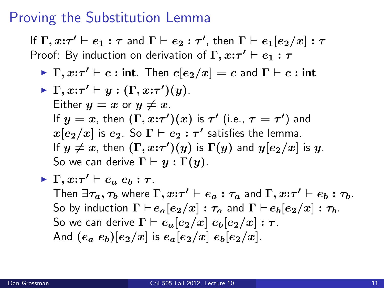If  $\Gamma, x \mathpunct{:}\tau' \vdash e_1 : \tau$  and  $\Gamma \vdash e_2 : \tau'$ , then  $\Gamma \vdash e_1 [e_2 / x] : \tau$ Proof: By induction on derivation of  $\Gamma, x:\tau' \vdash e_1 : \tau$ 

\n- $$
\Gamma, x:\tau' \vdash y : (\Gamma, x:\tau')(y)
$$
.
\n- Either  $y = x$  or  $y \neq x$ .
\n- If  $y = x$ , then  $(\Gamma, x:\tau')(x)$  is  $\tau'$  (i.e.,  $\tau = \tau'$ ) and  $x[e_2/x]$  is  $e_2$ . So  $\Gamma \vdash e_2 : \tau'$  satisfies the lemma.
\n- If  $y \neq x$ , then  $(\Gamma, x:\tau')(y)$  is  $\Gamma(y)$  and  $y[e_2/x]$  is  $y$ . So we can derive  $\Gamma \vdash y : \Gamma(y)$ .
\n

\n- $$
\Gamma
$$
,  $x:\tau' \vdash e_a e_b : \tau$ . Then  $\exists \tau_a, \tau_b$  where  $\Gamma$ ,  $x:\tau' \vdash e_a : \tau_a$  and  $\Gamma$ ,  $x:\tau' \vdash e_b : \tau_b$ . So by induction  $\Gamma \vdash e_a[e_2/x] : \tau_a$  and  $\Gamma \vdash e_b[e_2/x] : \tau_b$ . So we can derive  $\Gamma \vdash e_a[e_2/x] e_b[e_2/x] : \tau$ . And  $(e_a e_b)[e_2/x]$  is  $e_a[e_2/x] e_b[e_2/x]$ .
\n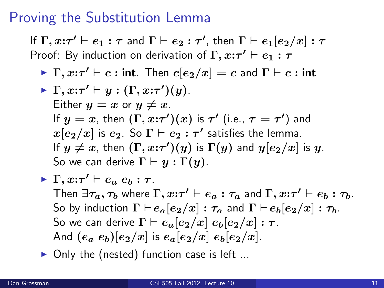If  $\Gamma, x \mathpunct{:}\tau' \vdash e_1 : \tau$  and  $\Gamma \vdash e_2 : \tau'$ , then  $\Gamma \vdash e_1 [e_2 / x] : \tau$ Proof: By induction on derivation of  $\Gamma, x:\tau' \vdash e_1 : \tau$ 

 $\blacktriangleright \Gamma, x{:}\tau' \vdash c : \mathsf{int}$ . Then  $c[e_2/x] = c$  and  $\Gamma \vdash c : \mathsf{int}$ 

\n- $$
\Gamma, x:\tau' \vdash y : (\Gamma, x:\tau')(y)
$$
.
\n- Either  $y = x$  or  $y \neq x$ .
\n- If  $y = x$ , then  $(\Gamma, x:\tau')(x)$  is  $\tau'$  (i.e.,  $\tau = \tau'$ ) and  $x[e_2/x]$  is  $e_2$ . So  $\Gamma \vdash e_2 : \tau'$  satisfies the lemma.
\n- If  $y \neq x$ , then  $(\Gamma, x:\tau')(y)$  is  $\Gamma(y)$  and  $y[e_2/x]$  is  $y$ . So we can derive  $\Gamma \vdash y : \Gamma(y)$ .
\n

\n- $$
\Gamma
$$
,  $x:\tau' \vdash e_a \ e_b : \tau$ . Then  $\exists \tau_a, \tau_b$  where  $\Gamma$ ,  $x:\tau' \vdash e_a : \tau_a$  and  $\Gamma$ ,  $x:\tau' \vdash e_b : \tau_b$ . So by induction  $\Gamma \vdash e_a[e_2/x] : \tau_a$  and  $\Gamma \vdash e_b[e_2/x] : \tau_b$ . So we can derive  $\Gamma \vdash e_a[e_2/x] \ e_b[e_2/x] : \tau$ . And  $(e_a \ e_b)[e_2/x]$  is  $e_a[e_2/x] \ e_b[e_2/x]$ .
\n

Only the (nested) function case is left ...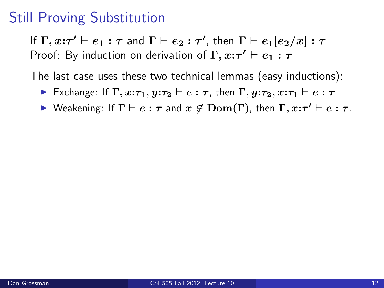If  $\Gamma, x \mathpunct{:}\tau' \vdash e_1 : \tau$  and  $\Gamma \vdash e_2 : \tau'$ , then  $\Gamma \vdash e_1 [e_2 / x] : \tau$ Proof: By induction on derivation of  $\Gamma, x:\tau' \vdash e_1 : \tau$ 

The last case uses these two technical lemmas (easy inductions):

- **Exchange:** If  $\Gamma$ ,  $x:\tau_1, y:\tau_2 \vdash e : \tau$ , then  $\Gamma$ ,  $y:\tau_2, x:\tau_1 \vdash e : \tau$
- $\triangleright$  Weakening: If  $\Gamma \vdash e : \tau$  and  $x \not\in \mathrm{Dom}(\Gamma)$ , then  $\Gamma, x : \tau' \vdash e : \tau$ .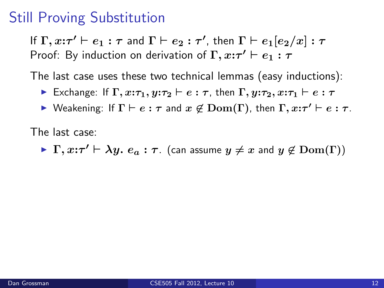If  $\Gamma, x \mathpunct{:}\tau' \vdash e_1 : \tau$  and  $\Gamma \vdash e_2 : \tau'$ , then  $\Gamma \vdash e_1 [e_2 / x] : \tau$ Proof: By induction on derivation of  $\Gamma, x:\tau' \vdash e_1 : \tau$ 

The last case uses these two technical lemmas (easy inductions):

- **Exchange:** If  $\Gamma$ ,  $x:\tau_1, y:\tau_2 \vdash e : \tau$ , then  $\Gamma$ ,  $y:\tau_2, x:\tau_1 \vdash e : \tau$
- $\triangleright$  Weakening: If  $\Gamma \vdash e : \tau$  and  $x \not\in \mathrm{Dom}(\Gamma)$ , then  $\Gamma, x : \tau' \vdash e : \tau$ .

The last case:

 $\blacktriangleright \Gamma, x \text{:}\tau' \vdash \lambda y. e_a : \tau$ . (can assume  $y \neq x$  and  $y \not\in \mathrm{Dom}(\Gamma)$ )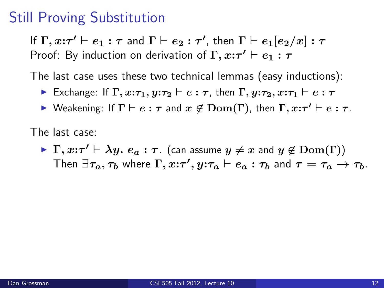If  $\Gamma, x \mathpunct{:}\tau' \vdash e_1 : \tau$  and  $\Gamma \vdash e_2 : \tau'$ , then  $\Gamma \vdash e_1 [e_2 / x] : \tau$ Proof: By induction on derivation of  $\Gamma, x:\tau' \vdash e_1 : \tau$ 

The last case uses these two technical lemmas (easy inductions):

- **Exchange:** If  $\Gamma$ ,  $x:\tau_1, y:\tau_2 \vdash e : \tau$ , then  $\Gamma$ ,  $y:\tau_2, x:\tau_1 \vdash e : \tau$
- $\triangleright$  Weakening: If  $\Gamma \vdash e : \tau$  and  $x \not\in \mathrm{Dom}(\Gamma)$ , then  $\Gamma, x : \tau' \vdash e : \tau$ .

The last case:

 $\blacktriangleright \Gamma, x \text{:}\tau' \vdash \lambda y. e_a : \tau$ . (can assume  $y \neq x$  and  $y \not\in \mathrm{Dom}(\Gamma)$ ) Then  $\exists \tau_a, \tau_b$  where  $\Gamma, x{:}\tau', y{:}\tau_a \vdash e_a : \tau_b$  and  $\tau = \tau_a \rightarrow \tau_b$ .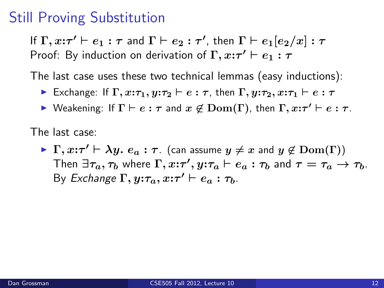If  $\Gamma, x \mathpunct{:}\tau' \vdash e_1 : \tau$  and  $\Gamma \vdash e_2 : \tau'$ , then  $\Gamma \vdash e_1 [e_2 / x] : \tau$ Proof: By induction on derivation of  $\Gamma, x:\tau' \vdash e_1 : \tau$ 

The last case uses these two technical lemmas (easy inductions):

- **Exchange:** If  $\Gamma$ ,  $x:\tau_1, y:\tau_2 \vdash e : \tau$ , then  $\Gamma$ ,  $y:\tau_2, x:\tau_1 \vdash e : \tau$
- $\triangleright$  Weakening: If  $\Gamma \vdash e : \tau$  and  $x \not\in \mathrm{Dom}(\Gamma)$ , then  $\Gamma, x : \tau' \vdash e : \tau$ .

The last case:

 $\blacktriangleright \Gamma, x \text{:}\tau' \vdash \lambda y. e_a : \tau$ . (can assume  $y \neq x$  and  $y \not\in \mathrm{Dom}(\Gamma)$ ) Then  $\exists \tau_a, \tau_b$  where  $\Gamma, x{:}\tau', y{:}\tau_a \vdash e_a : \tau_b$  and  $\tau = \tau_a \rightarrow \tau_b$ . By Exchange  $\Gamma, y:\tau_a, x:\tau' \vdash e_a : \tau_b$ .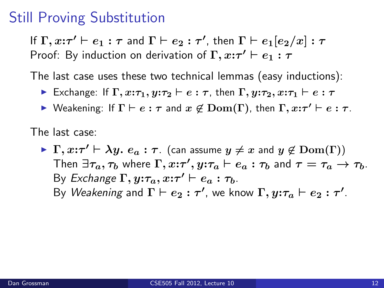If  $\Gamma, x \mathpunct{:}\tau' \vdash e_1 : \tau$  and  $\Gamma \vdash e_2 : \tau'$ , then  $\Gamma \vdash e_1 [e_2 / x] : \tau$ Proof: By induction on derivation of  $\Gamma, x:\tau' \vdash e_1 : \tau$ 

The last case uses these two technical lemmas (easy inductions):

- **Exchange:** If  $\Gamma$ ,  $x:\tau_1, y:\tau_2 \vdash e : \tau$ , then  $\Gamma$ ,  $y:\tau_2, x:\tau_1 \vdash e : \tau$
- $\triangleright$  Weakening: If  $\Gamma \vdash e : \tau$  and  $x \not\in \mathrm{Dom}(\Gamma)$ , then  $\Gamma, x : \tau' \vdash e : \tau$ .

The last case:

 $\blacktriangleright \Gamma, x \text{:}\tau' \vdash \lambda y. e_a : \tau$ . (can assume  $y \neq x$  and  $y \not\in \mathrm{Dom}(\Gamma)$ ) Then  $\exists \tau_a, \tau_b$  where  $\Gamma, x{:}\tau', y{:}\tau_a \vdash e_a : \tau_b$  and  $\tau = \tau_a \rightarrow \tau_b$ . By Exchange  $\Gamma, y:\tau_a, x:\tau' \vdash e_a : \tau_b$ . By *Weakening* and  $\Gamma \vdash e_2 : \tau'$ , we know  $\Gamma, y{:}\tau_a \vdash e_2 : \tau'.$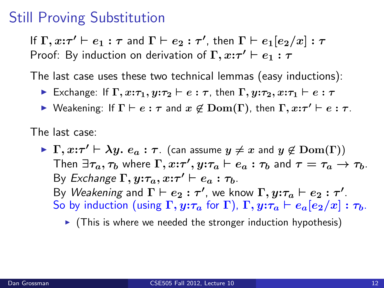If  $\Gamma, x \mathpunct{:}\tau' \vdash e_1 : \tau$  and  $\Gamma \vdash e_2 : \tau'$ , then  $\Gamma \vdash e_1 [e_2 / x] : \tau$ Proof: By induction on derivation of  $\Gamma, x:\tau' \vdash e_1 : \tau$ 

The last case uses these two technical lemmas (easy inductions):

- **Exchange:** If  $\Gamma$ ,  $x:\tau_1, y:\tau_2 \vdash e : \tau$ , then  $\Gamma$ ,  $y:\tau_2, x:\tau_1 \vdash e : \tau$
- $\triangleright$  Weakening: If  $\Gamma \vdash e : \tau$  and  $x \not\in \mathrm{Dom}(\Gamma)$ , then  $\Gamma, x : \tau' \vdash e : \tau$ .

The last case:

 $\blacktriangleright \Gamma, x \text{:}\tau' \vdash \lambda y. e_a : \tau$ . (can assume  $y \neq x$  and  $y \not\in \mathrm{Dom}(\Gamma)$ ) Then  $\exists \tau_a, \tau_b$  where  $\Gamma, x{:}\tau', y{:}\tau_a \vdash e_a : \tau_b$  and  $\tau = \tau_a \rightarrow \tau_b$ . By Exchange  $\Gamma, y:\tau_a, x:\tau' \vdash e_a : \tau_b$ . By *Weakening* and  $\Gamma \vdash e_2 : \tau'$ , we know  $\Gamma, y{:}\tau_a \vdash e_2 : \tau'.$ So by induction (using  $\Gamma$ ,  $y:\tau_a$  for  $\Gamma$ ),  $\Gamma$ ,  $y:\tau_a \vdash e_a[e_2/x] : \tau_b$ .

 $\triangleright$  (This is where we needed the stronger induction hypothesis)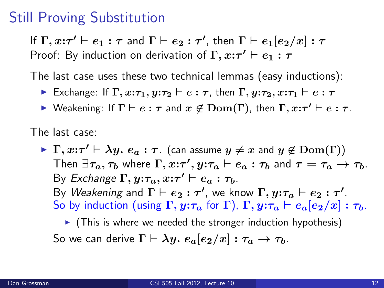If  $\Gamma, x \mathpunct{:}\tau' \vdash e_1 : \tau$  and  $\Gamma \vdash e_2 : \tau'$ , then  $\Gamma \vdash e_1 [e_2 / x] : \tau$ Proof: By induction on derivation of  $\Gamma, x:\tau' \vdash e_1 : \tau$ 

The last case uses these two technical lemmas (easy inductions):

- **Exchange:** If  $\Gamma$ ,  $x:\tau_1, y:\tau_2 \vdash e : \tau$ , then  $\Gamma$ ,  $y:\tau_2, x:\tau_1 \vdash e : \tau$
- $\triangleright$  Weakening: If  $\Gamma \vdash e : \tau$  and  $x \not\in \mathrm{Dom}(\Gamma)$ , then  $\Gamma, x : \tau' \vdash e : \tau$ .

The last case:

 $\blacktriangleright \Gamma, x \text{:}\tau' \vdash \lambda y. e_a : \tau$ . (can assume  $y \neq x$  and  $y \not\in \mathrm{Dom}(\Gamma)$ ) Then  $\exists \tau_a, \tau_b$  where  $\Gamma, x{:}\tau', y{:}\tau_a \vdash e_a : \tau_b$  and  $\tau = \tau_a \rightarrow \tau_b$ . By Exchange  $\Gamma, y:\tau_a, x:\tau' \vdash e_a : \tau_b$ . By *Weakening* and  $\Gamma \vdash e_2 : \tau'$ , we know  $\Gamma, y{:}\tau_a \vdash e_2 : \tau'.$ So by induction (using  $\Gamma$ ,  $y:\tau_a$  for  $\Gamma$ ),  $\Gamma$ ,  $y:\tau_a \vdash e_a[e_2/x] : \tau_b$ .

 $\triangleright$  (This is where we needed the stronger induction hypothesis) So we can derive  $\Gamma \vdash \lambda y$ .  $e_a[e_2/x] : \tau_a \to \tau_b$ .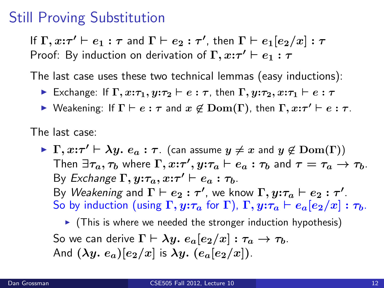If  $\Gamma, x \mathpunct{:}\tau' \vdash e_1 : \tau$  and  $\Gamma \vdash e_2 : \tau'$ , then  $\Gamma \vdash e_1 [e_2 / x] : \tau$ Proof: By induction on derivation of  $\Gamma, x:\tau' \vdash e_1 : \tau$ 

The last case uses these two technical lemmas (easy inductions):

- **Exchange:** If  $\Gamma$ ,  $x:\tau_1, y:\tau_2 \vdash e : \tau$ , then  $\Gamma$ ,  $y:\tau_2, x:\tau_1 \vdash e : \tau$
- $\triangleright$  Weakening: If  $\Gamma \vdash e : \tau$  and  $x \not\in \mathrm{Dom}(\Gamma)$ , then  $\Gamma, x : \tau' \vdash e : \tau$ .

The last case:

 $\blacktriangleright \Gamma, x \text{:}\tau' \vdash \lambda y. e_a : \tau$ . (can assume  $y \neq x$  and  $y \not\in \mathrm{Dom}(\Gamma)$ ) Then  $\exists \tau_a, \tau_b$  where  $\Gamma, x{:}\tau', y{:}\tau_a \vdash e_a : \tau_b$  and  $\tau = \tau_a \rightarrow \tau_b$ . By Exchange  $\Gamma, y:\tau_a, x:\tau' \vdash e_a : \tau_b$ . By *Weakening* and  $\Gamma \vdash e_2 : \tau'$ , we know  $\Gamma, y{:}\tau_a \vdash e_2 : \tau'.$ So by induction (using  $\Gamma$ ,  $\mathbf{y}$ : $\tau_a$  for  $\Gamma$ ),  $\Gamma$ ,  $\mathbf{y}$ : $\tau_a \vdash e_a[e_2/x]$  :  $\tau_b$ .

 $\triangleright$  (This is where we needed the stronger induction hypothesis) So we can derive  $\Gamma \vdash \lambda y$ .  $e_a[e_2/x] : \tau_a \to \tau_b$ . And  $(\lambda y. e_a)[e_2/x]$  is  $\lambda y. (e_a[e_2/x])$ .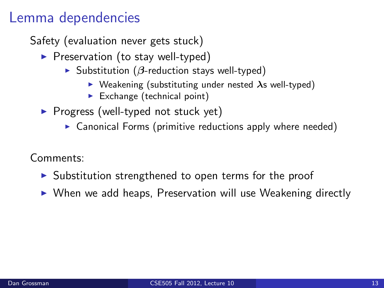# Lemma dependencies

Safety (evaluation never gets stuck)

- $\blacktriangleright$  Preservation (to stay well-typed)
	- $\triangleright$  Substitution ( $\beta$ -reduction stays well-typed)
		- $\triangleright$  Weakening (substituting under nested  $\lambda$ s well-typed)
		- $\blacktriangleright$  Exchange (technical point)
- $\triangleright$  Progress (well-typed not stuck yet)
	- $\triangleright$  Canonical Forms (primitive reductions apply where needed)

Comments:

- $\triangleright$  Substitution strengthened to open terms for the proof
- $\triangleright$  When we add heaps, Preservation will use Weakening directly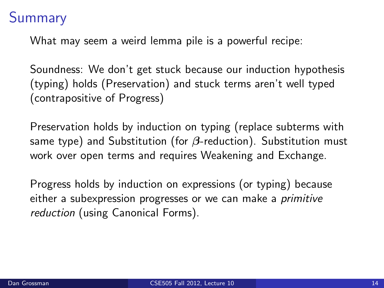# Summary

What may seem a weird lemma pile is a powerful recipe:

Soundness: We don't get stuck because our induction hypothesis (typing) holds (Preservation) and stuck terms aren't well typed (contrapositive of Progress)

Preservation holds by induction on typing (replace subterms with same type) and Substitution (for  $\beta$ -reduction). Substitution must work over open terms and requires Weakening and Exchange.

Progress holds by induction on expressions (or typing) because either a subexpression progresses or we can make a primitive reduction (using Canonical Forms).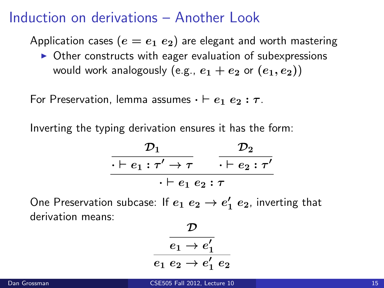## Induction on derivations – Another Look

Application cases ( $e = e_1 \ e_2$ ) are elegant and worth mastering

 $\triangleright$  Other constructs with eager evaluation of subexpressions would work analogously (e.g.,  $e_1 + e_2$  or  $(e_1, e_2)$ )

For Preservation, lemma assumes  $\cdot \vdash e_1 \ e_2 : \tau$ .

Inverting the typing derivation ensures it has the form:

$$
\frac{\mathcal{D}_1}{\cdot \vdash e_1 : \tau' \to \tau} \quad \frac{\mathcal{D}_2}{\cdot \vdash e_2 : \tau'}
$$
\n
$$
\cdot \vdash e_1 \ e_2 : \tau
$$

One Preservation subcase: If  $e_1$   $e_2 \rightarrow e'_1$   $e_2$ , inverting that derivation means:

$$
\dfrac{\dfrac{\mathcal{D}}{e_1 \rightarrow e_1'}}{e_1 \ e_2 \rightarrow e_1' \ e_2}
$$